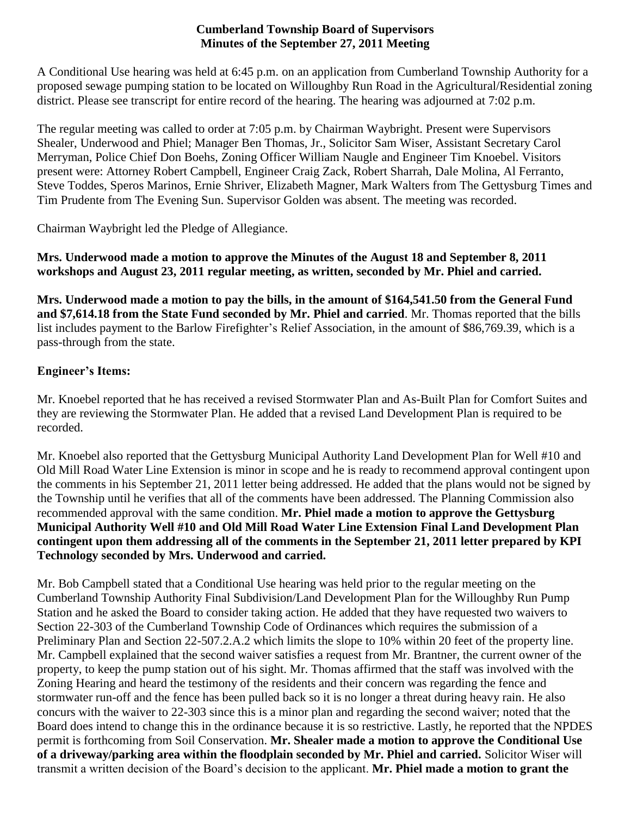#### **Cumberland Township Board of Supervisors Minutes of the September 27, 2011 Meeting**

A Conditional Use hearing was held at 6:45 p.m. on an application from Cumberland Township Authority for a proposed sewage pumping station to be located on Willoughby Run Road in the Agricultural/Residential zoning district. Please see transcript for entire record of the hearing. The hearing was adjourned at 7:02 p.m.

The regular meeting was called to order at 7:05 p.m. by Chairman Waybright. Present were Supervisors Shealer, Underwood and Phiel; Manager Ben Thomas, Jr., Solicitor Sam Wiser, Assistant Secretary Carol Merryman, Police Chief Don Boehs, Zoning Officer William Naugle and Engineer Tim Knoebel. Visitors present were: Attorney Robert Campbell, Engineer Craig Zack, Robert Sharrah, Dale Molina, Al Ferranto, Steve Toddes, Speros Marinos, Ernie Shriver, Elizabeth Magner, Mark Walters from The Gettysburg Times and Tim Prudente from The Evening Sun. Supervisor Golden was absent. The meeting was recorded.

Chairman Waybright led the Pledge of Allegiance.

**Mrs. Underwood made a motion to approve the Minutes of the August 18 and September 8, 2011 workshops and August 23, 2011 regular meeting, as written, seconded by Mr. Phiel and carried.**

**Mrs. Underwood made a motion to pay the bills, in the amount of \$164,541.50 from the General Fund and \$7,614.18 from the State Fund seconded by Mr. Phiel and carried**. Mr. Thomas reported that the bills list includes payment to the Barlow Firefighter's Relief Association, in the amount of \$86,769.39, which is a pass-through from the state.

# **Engineer's Items:**

Mr. Knoebel reported that he has received a revised Stormwater Plan and As-Built Plan for Comfort Suites and they are reviewing the Stormwater Plan. He added that a revised Land Development Plan is required to be recorded.

Mr. Knoebel also reported that the Gettysburg Municipal Authority Land Development Plan for Well #10 and Old Mill Road Water Line Extension is minor in scope and he is ready to recommend approval contingent upon the comments in his September 21, 2011 letter being addressed. He added that the plans would not be signed by the Township until he verifies that all of the comments have been addressed. The Planning Commission also recommended approval with the same condition. **Mr. Phiel made a motion to approve the Gettysburg Municipal Authority Well #10 and Old Mill Road Water Line Extension Final Land Development Plan contingent upon them addressing all of the comments in the September 21, 2011 letter prepared by KPI Technology seconded by Mrs. Underwood and carried.**

Mr. Bob Campbell stated that a Conditional Use hearing was held prior to the regular meeting on the Cumberland Township Authority Final Subdivision/Land Development Plan for the Willoughby Run Pump Station and he asked the Board to consider taking action. He added that they have requested two waivers to Section 22-303 of the Cumberland Township Code of Ordinances which requires the submission of a Preliminary Plan and Section 22-507.2.A.2 which limits the slope to 10% within 20 feet of the property line. Mr. Campbell explained that the second waiver satisfies a request from Mr. Brantner, the current owner of the property, to keep the pump station out of his sight. Mr. Thomas affirmed that the staff was involved with the Zoning Hearing and heard the testimony of the residents and their concern was regarding the fence and stormwater run-off and the fence has been pulled back so it is no longer a threat during heavy rain. He also concurs with the waiver to 22-303 since this is a minor plan and regarding the second waiver; noted that the Board does intend to change this in the ordinance because it is so restrictive. Lastly, he reported that the NPDES permit is forthcoming from Soil Conservation. **Mr. Shealer made a motion to approve the Conditional Use of a driveway/parking area within the floodplain seconded by Mr. Phiel and carried.** Solicitor Wiser will transmit a written decision of the Board's decision to the applicant. **Mr. Phiel made a motion to grant the**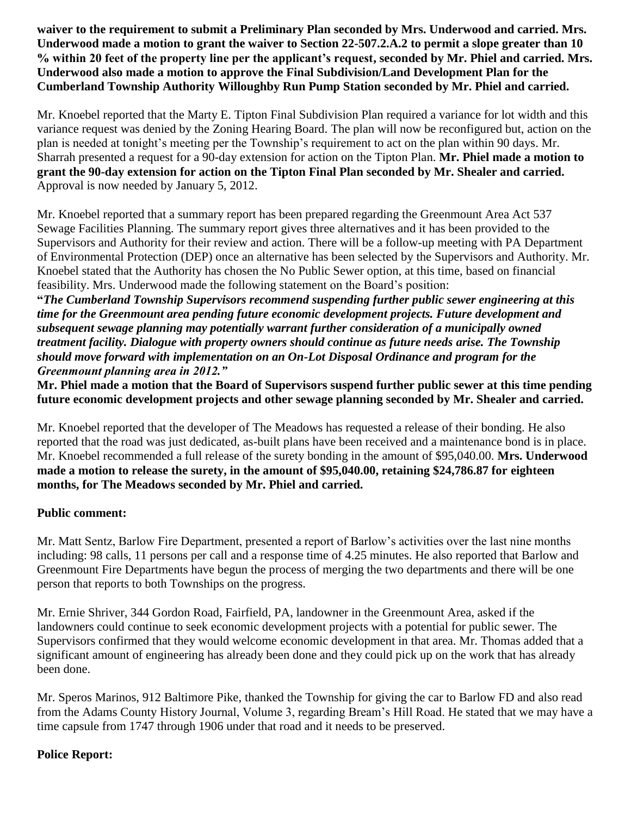**waiver to the requirement to submit a Preliminary Plan seconded by Mrs. Underwood and carried. Mrs. Underwood made a motion to grant the waiver to Section 22-507.2.A.2 to permit a slope greater than 10 % within 20 feet of the property line per the applicant's request, seconded by Mr. Phiel and carried. Mrs. Underwood also made a motion to approve the Final Subdivision/Land Development Plan for the Cumberland Township Authority Willoughby Run Pump Station seconded by Mr. Phiel and carried.**

Mr. Knoebel reported that the Marty E. Tipton Final Subdivision Plan required a variance for lot width and this variance request was denied by the Zoning Hearing Board. The plan will now be reconfigured but, action on the plan is needed at tonight's meeting per the Township's requirement to act on the plan within 90 days. Mr. Sharrah presented a request for a 90-day extension for action on the Tipton Plan. **Mr. Phiel made a motion to grant the 90-day extension for action on the Tipton Final Plan seconded by Mr. Shealer and carried.**  Approval is now needed by January 5, 2012.

Mr. Knoebel reported that a summary report has been prepared regarding the Greenmount Area Act 537 Sewage Facilities Planning. The summary report gives three alternatives and it has been provided to the Supervisors and Authority for their review and action. There will be a follow-up meeting with PA Department of Environmental Protection (DEP) once an alternative has been selected by the Supervisors and Authority. Mr. Knoebel stated that the Authority has chosen the No Public Sewer option, at this time, based on financial feasibility. Mrs. Underwood made the following statement on the Board's position:

**"***The Cumberland Township Supervisors recommend suspending further public sewer engineering at this time for the Greenmount area pending future economic development projects. Future development and subsequent sewage planning may potentially warrant further consideration of a municipally owned treatment facility. Dialogue with property owners should continue as future needs arise. The Township should move forward with implementation on an On-Lot Disposal Ordinance and program for the Greenmount planning area in 2012."*

**Mr. Phiel made a motion that the Board of Supervisors suspend further public sewer at this time pending future economic development projects and other sewage planning seconded by Mr. Shealer and carried.** 

Mr. Knoebel reported that the developer of The Meadows has requested a release of their bonding. He also reported that the road was just dedicated, as-built plans have been received and a maintenance bond is in place. Mr. Knoebel recommended a full release of the surety bonding in the amount of \$95,040.00. **Mrs. Underwood made a motion to release the surety, in the amount of \$95,040.00, retaining \$24,786.87 for eighteen months, for The Meadows seconded by Mr. Phiel and carried.** 

#### **Public comment:**

Mr. Matt Sentz, Barlow Fire Department, presented a report of Barlow's activities over the last nine months including: 98 calls, 11 persons per call and a response time of 4.25 minutes. He also reported that Barlow and Greenmount Fire Departments have begun the process of merging the two departments and there will be one person that reports to both Townships on the progress.

Mr. Ernie Shriver, 344 Gordon Road, Fairfield, PA, landowner in the Greenmount Area, asked if the landowners could continue to seek economic development projects with a potential for public sewer. The Supervisors confirmed that they would welcome economic development in that area. Mr. Thomas added that a significant amount of engineering has already been done and they could pick up on the work that has already been done.

Mr. Speros Marinos, 912 Baltimore Pike, thanked the Township for giving the car to Barlow FD and also read from the Adams County History Journal, Volume 3, regarding Bream's Hill Road. He stated that we may have a time capsule from 1747 through 1906 under that road and it needs to be preserved.

#### **Police Report:**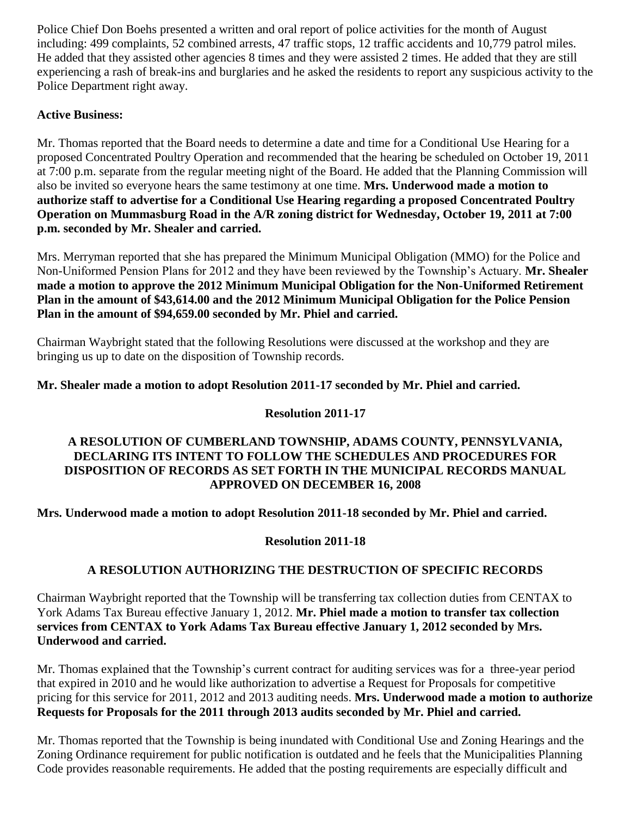Police Chief Don Boehs presented a written and oral report of police activities for the month of August including: 499 complaints, 52 combined arrests, 47 traffic stops, 12 traffic accidents and 10,779 patrol miles. He added that they assisted other agencies 8 times and they were assisted 2 times. He added that they are still experiencing a rash of break-ins and burglaries and he asked the residents to report any suspicious activity to the Police Department right away.

### **Active Business:**

Mr. Thomas reported that the Board needs to determine a date and time for a Conditional Use Hearing for a proposed Concentrated Poultry Operation and recommended that the hearing be scheduled on October 19, 2011 at 7:00 p.m. separate from the regular meeting night of the Board. He added that the Planning Commission will also be invited so everyone hears the same testimony at one time. **Mrs. Underwood made a motion to authorize staff to advertise for a Conditional Use Hearing regarding a proposed Concentrated Poultry Operation on Mummasburg Road in the A/R zoning district for Wednesday, October 19, 2011 at 7:00 p.m. seconded by Mr. Shealer and carried.**

Mrs. Merryman reported that she has prepared the Minimum Municipal Obligation (MMO) for the Police and Non-Uniformed Pension Plans for 2012 and they have been reviewed by the Township's Actuary. **Mr. Shealer made a motion to approve the 2012 Minimum Municipal Obligation for the Non-Uniformed Retirement Plan in the amount of \$43,614.00 and the 2012 Minimum Municipal Obligation for the Police Pension Plan in the amount of \$94,659.00 seconded by Mr. Phiel and carried.**

Chairman Waybright stated that the following Resolutions were discussed at the workshop and they are bringing us up to date on the disposition of Township records.

**Mr. Shealer made a motion to adopt Resolution 2011-17 seconded by Mr. Phiel and carried.**

## **Resolution 2011-17**

#### **A RESOLUTION OF CUMBERLAND TOWNSHIP, ADAMS COUNTY, PENNSYLVANIA, DECLARING ITS INTENT TO FOLLOW THE SCHEDULES AND PROCEDURES FOR DISPOSITION OF RECORDS AS SET FORTH IN THE MUNICIPAL RECORDS MANUAL APPROVED ON DECEMBER 16, 2008**

**Mrs. Underwood made a motion to adopt Resolution 2011-18 seconded by Mr. Phiel and carried.**

#### **Resolution 2011-18**

# **A RESOLUTION AUTHORIZING THE DESTRUCTION OF SPECIFIC RECORDS**

Chairman Waybright reported that the Township will be transferring tax collection duties from CENTAX to York Adams Tax Bureau effective January 1, 2012. **Mr. Phiel made a motion to transfer tax collection services from CENTAX to York Adams Tax Bureau effective January 1, 2012 seconded by Mrs. Underwood and carried.** 

Mr. Thomas explained that the Township's current contract for auditing services was for a three-year period that expired in 2010 and he would like authorization to advertise a Request for Proposals for competitive pricing for this service for 2011, 2012 and 2013 auditing needs. **Mrs. Underwood made a motion to authorize Requests for Proposals for the 2011 through 2013 audits seconded by Mr. Phiel and carried.**

Mr. Thomas reported that the Township is being inundated with Conditional Use and Zoning Hearings and the Zoning Ordinance requirement for public notification is outdated and he feels that the Municipalities Planning Code provides reasonable requirements. He added that the posting requirements are especially difficult and